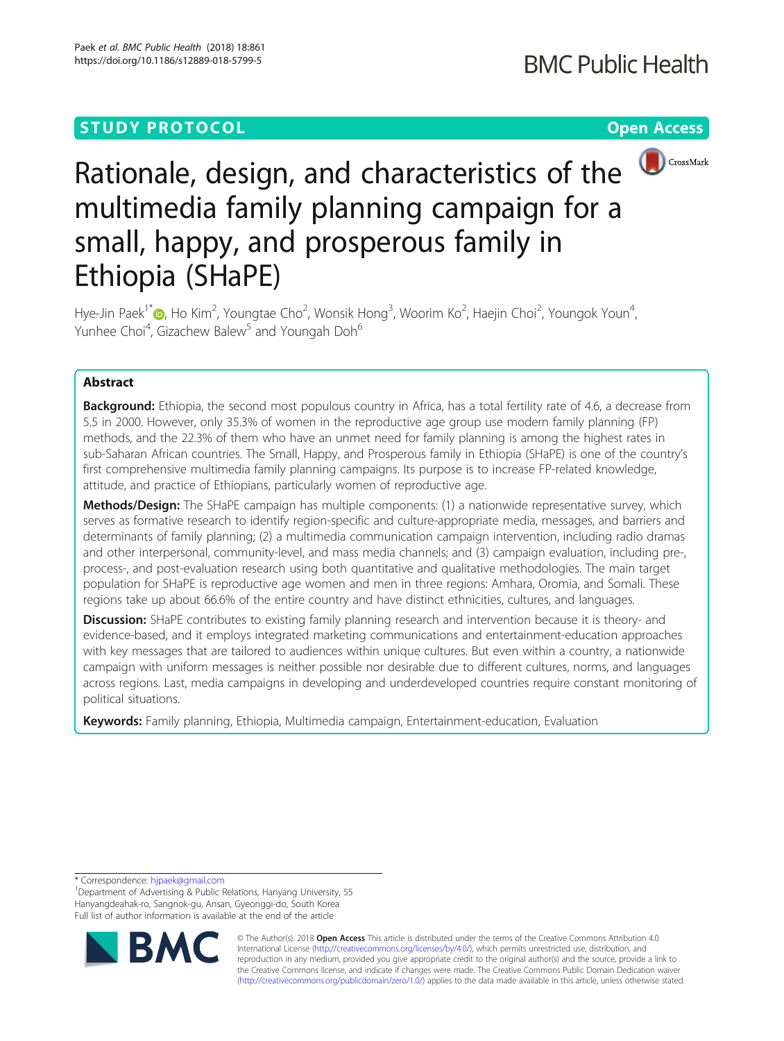## **STUDY PROTOCOL CONSUMING THE CONSUMING THE CONSUMING TEAM CONSUMING THE CONSUMING TEAM CONSUMING THE CONSUMING TEAM**



# Rationale, design, and characteristics of the multimedia family planning campaign for a small, happy, and prosperous family in Ethiopia (SHaPE)

Hye-Jin Paek<sup>1[\\*](http://orcid.org/0000-0001-8415-5541)</sup>®, Ho Kim<sup>2</sup>, Youngtae Cho<sup>2</sup>, Wonsik Hong<sup>3</sup>, Woorim Ko<sup>2</sup>, Haejin Choi<sup>2</sup>, Youngok Youn<sup>4</sup> , Yunhee Choi<sup>4</sup>, Gizachew Balew<sup>5</sup> and Youngah Doh<sup>6</sup>

## Abstract

**Background:** Ethiopia, the second most populous country in Africa, has a total fertility rate of 4.6, a decrease from 5.5 in 2000. However, only 35.3% of women in the reproductive age group use modern family planning (FP) methods, and the 22.3% of them who have an unmet need for family planning is among the highest rates in sub-Saharan African countries. The Small, Happy, and Prosperous family in Ethiopia (SHaPE) is one of the country's first comprehensive multimedia family planning campaigns. Its purpose is to increase FP-related knowledge, attitude, and practice of Ethiopians, particularly women of reproductive age.

Methods/Design: The SHaPE campaign has multiple components: (1) a nationwide representative survey, which serves as formative research to identify region-specific and culture-appropriate media, messages, and barriers and determinants of family planning; (2) a multimedia communication campaign intervention, including radio dramas and other interpersonal, community-level, and mass media channels; and (3) campaign evaluation, including pre-, process-, and post-evaluation research using both quantitative and qualitative methodologies. The main target population for SHaPE is reproductive age women and men in three regions: Amhara, Oromia, and Somali. These regions take up about 66.6% of the entire country and have distinct ethnicities, cultures, and languages.

Discussion: SHaPE contributes to existing family planning research and intervention because it is theory- and evidence-based, and it employs integrated marketing communications and entertainment-education approaches with key messages that are tailored to audiences within unique cultures. But even within a country, a nationwide campaign with uniform messages is neither possible nor desirable due to different cultures, norms, and languages across regions. Last, media campaigns in developing and underdeveloped countries require constant monitoring of political situations.

Keywords: Family planning, Ethiopia, Multimedia campaign, Entertainment-education, Evaluation

\* Correspondence: [hjpaek@gmail.com](mailto:hjpaek@gmail.com) <sup>1</sup>

<sup>&</sup>lt;sup>1</sup>Department of Advertising & Public Relations, Hanyang University, 55 Hanyangdeahak-ro, Sangnok-gu, Ansan, Gyeonggi-do, South Korea Full list of author information is available at the end of the article



© The Author(s). 2018 Open Access This article is distributed under the terms of the Creative Commons Attribution 4.0 International License [\(http://creativecommons.org/licenses/by/4.0/](http://creativecommons.org/licenses/by/4.0/)), which permits unrestricted use, distribution, and reproduction in any medium, provided you give appropriate credit to the original author(s) and the source, provide a link to the Creative Commons license, and indicate if changes were made. The Creative Commons Public Domain Dedication waiver [\(http://creativecommons.org/publicdomain/zero/1.0/](http://creativecommons.org/publicdomain/zero/1.0/)) applies to the data made available in this article, unless otherwise stated.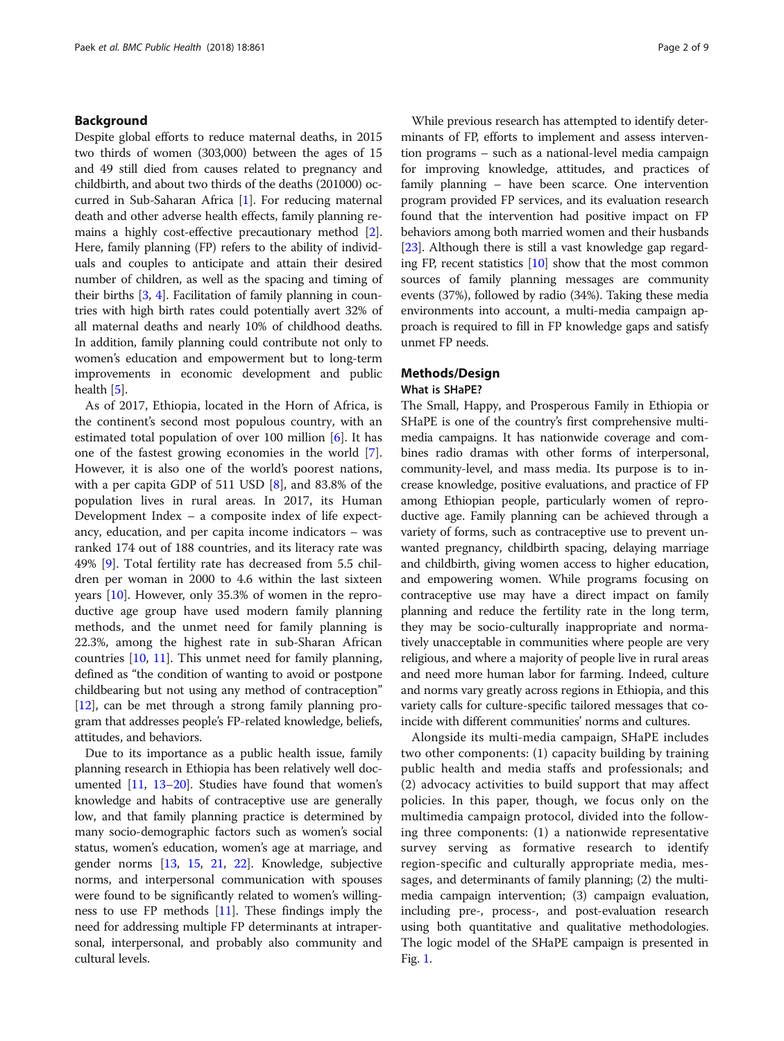## Background

Despite global efforts to reduce maternal deaths, in 2015 two thirds of women (303,000) between the ages of 15 and 49 still died from causes related to pregnancy and childbirth, and about two thirds of the deaths (201000) occurred in Sub-Saharan Africa [\[1](#page-7-0)]. For reducing maternal death and other adverse health effects, family planning remains a highly cost-effective precautionary method [[2](#page-7-0)]. Here, family planning (FP) refers to the ability of individuals and couples to anticipate and attain their desired number of children, as well as the spacing and timing of their births [\[3,](#page-7-0) [4](#page-7-0)]. Facilitation of family planning in countries with high birth rates could potentially avert 32% of all maternal deaths and nearly 10% of childhood deaths. In addition, family planning could contribute not only to women's education and empowerment but to long-term improvements in economic development and public health [\[5\]](#page-7-0).

As of 2017, Ethiopia, located in the Horn of Africa, is the continent's second most populous country, with an estimated total population of over 100 million [[6\]](#page-7-0). It has one of the fastest growing economies in the world [\[7](#page-7-0)]. However, it is also one of the world's poorest nations, with a per capita GDP of 511 USD [[8\]](#page-7-0), and 83.8% of the population lives in rural areas. In 2017, its Human Development Index – a composite index of life expectancy, education, and per capita income indicators – was ranked 174 out of 188 countries, and its literacy rate was 49% [\[9](#page-7-0)]. Total fertility rate has decreased from 5.5 children per woman in 2000 to 4.6 within the last sixteen years [[10\]](#page-7-0). However, only 35.3% of women in the reproductive age group have used modern family planning methods, and the unmet need for family planning is 22.3%, among the highest rate in sub-Sharan African countries [\[10,](#page-7-0) [11](#page-7-0)]. This unmet need for family planning, defined as "the condition of wanting to avoid or postpone childbearing but not using any method of contraception" [[12](#page-7-0)], can be met through a strong family planning program that addresses people's FP-related knowledge, beliefs, attitudes, and behaviors.

Due to its importance as a public health issue, family planning research in Ethiopia has been relatively well documented [[11,](#page-7-0) [13](#page-7-0)–[20](#page-7-0)]. Studies have found that women's knowledge and habits of contraceptive use are generally low, and that family planning practice is determined by many socio-demographic factors such as women's social status, women's education, women's age at marriage, and gender norms [[13](#page-7-0), [15](#page-7-0), [21,](#page-7-0) [22\]](#page-7-0). Knowledge, subjective norms, and interpersonal communication with spouses were found to be significantly related to women's willingness to use FP methods [\[11\]](#page-7-0). These findings imply the need for addressing multiple FP determinants at intrapersonal, interpersonal, and probably also community and cultural levels.

While previous research has attempted to identify determinants of FP, efforts to implement and assess intervention programs – such as a national-level media campaign for improving knowledge, attitudes, and practices of family planning – have been scarce. One intervention program provided FP services, and its evaluation research found that the intervention had positive impact on FP behaviors among both married women and their husbands [[23](#page-7-0)]. Although there is still a vast knowledge gap regarding FP, recent statistics [\[10\]](#page-7-0) show that the most common sources of family planning messages are community events (37%), followed by radio (34%). Taking these media environments into account, a multi-media campaign approach is required to fill in FP knowledge gaps and satisfy unmet FP needs.

## Methods/Design

#### What is SHaPE?

The Small, Happy, and Prosperous Family in Ethiopia or SHaPE is one of the country's first comprehensive multimedia campaigns. It has nationwide coverage and combines radio dramas with other forms of interpersonal, community-level, and mass media. Its purpose is to increase knowledge, positive evaluations, and practice of FP among Ethiopian people, particularly women of reproductive age. Family planning can be achieved through a variety of forms, such as contraceptive use to prevent unwanted pregnancy, childbirth spacing, delaying marriage and childbirth, giving women access to higher education, and empowering women. While programs focusing on contraceptive use may have a direct impact on family planning and reduce the fertility rate in the long term, they may be socio-culturally inappropriate and normatively unacceptable in communities where people are very religious, and where a majority of people live in rural areas and need more human labor for farming. Indeed, culture and norms vary greatly across regions in Ethiopia, and this variety calls for culture-specific tailored messages that coincide with different communities' norms and cultures.

Alongside its multi-media campaign, SHaPE includes two other components: (1) capacity building by training public health and media staffs and professionals; and (2) advocacy activities to build support that may affect policies. In this paper, though, we focus only on the multimedia campaign protocol, divided into the following three components: (1) a nationwide representative survey serving as formative research to identify region-specific and culturally appropriate media, messages, and determinants of family planning; (2) the multimedia campaign intervention; (3) campaign evaluation, including pre-, process-, and post-evaluation research using both quantitative and qualitative methodologies. The logic model of the SHaPE campaign is presented in Fig. [1](#page-2-0).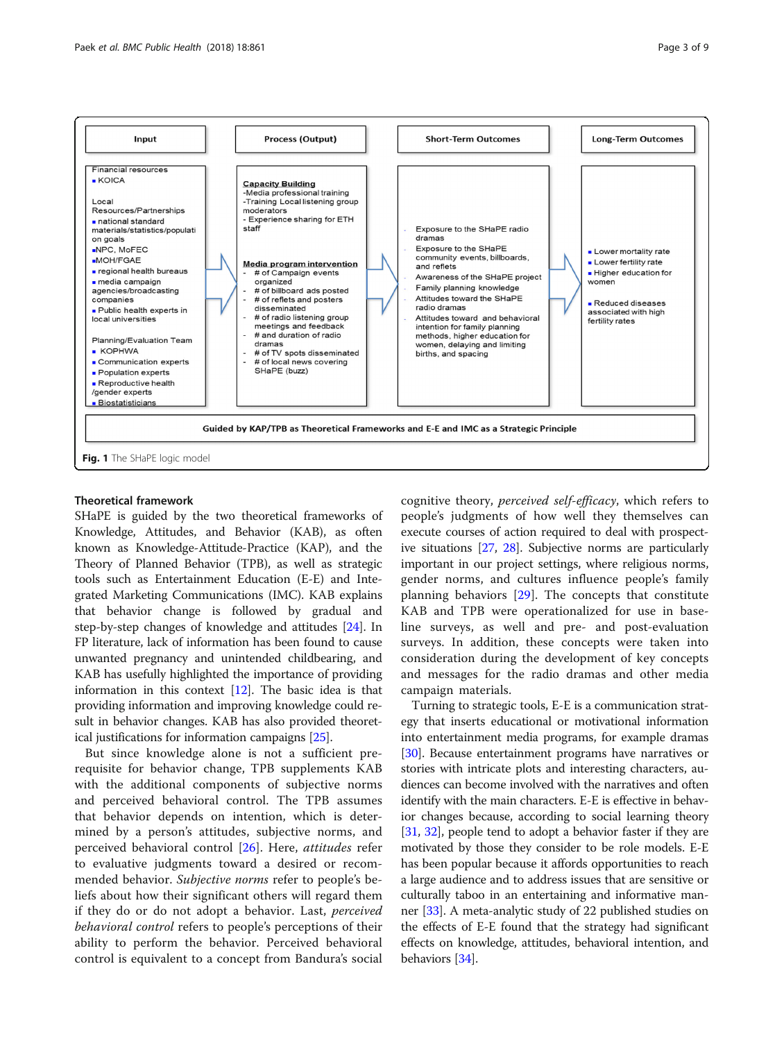<span id="page-2-0"></span>

#### Theoretical framework

SHaPE is guided by the two theoretical frameworks of Knowledge, Attitudes, and Behavior (KAB), as often known as Knowledge-Attitude-Practice (KAP), and the Theory of Planned Behavior (TPB), as well as strategic tools such as Entertainment Education (E-E) and Integrated Marketing Communications (IMC). KAB explains that behavior change is followed by gradual and step-by-step changes of knowledge and attitudes [\[24\]](#page-7-0). In FP literature, lack of information has been found to cause unwanted pregnancy and unintended childbearing, and KAB has usefully highlighted the importance of providing information in this context [\[12\]](#page-7-0). The basic idea is that providing information and improving knowledge could result in behavior changes. KAB has also provided theoretical justifications for information campaigns [\[25\]](#page-7-0).

But since knowledge alone is not a sufficient prerequisite for behavior change, TPB supplements KAB with the additional components of subjective norms and perceived behavioral control. The TPB assumes that behavior depends on intention, which is determined by a person's attitudes, subjective norms, and perceived behavioral control [\[26](#page-7-0)]. Here, attitudes refer to evaluative judgments toward a desired or recommended behavior. Subjective norms refer to people's beliefs about how their significant others will regard them if they do or do not adopt a behavior. Last, perceived behavioral control refers to people's perceptions of their ability to perform the behavior. Perceived behavioral control is equivalent to a concept from Bandura's social

cognitive theory, perceived self-efficacy, which refers to people's judgments of how well they themselves can execute courses of action required to deal with prospective situations [\[27,](#page-7-0) [28\]](#page-7-0). Subjective norms are particularly important in our project settings, where religious norms, gender norms, and cultures influence people's family planning behaviors [\[29](#page-7-0)]. The concepts that constitute KAB and TPB were operationalized for use in baseline surveys, as well and pre- and post-evaluation surveys. In addition, these concepts were taken into consideration during the development of key concepts and messages for the radio dramas and other media campaign materials.

Turning to strategic tools, E-E is a communication strategy that inserts educational or motivational information into entertainment media programs, for example dramas [[30](#page-7-0)]. Because entertainment programs have narratives or stories with intricate plots and interesting characters, audiences can become involved with the narratives and often identify with the main characters. E-E is effective in behavior changes because, according to social learning theory [[31](#page-7-0), [32](#page-7-0)], people tend to adopt a behavior faster if they are motivated by those they consider to be role models. E-E has been popular because it affords opportunities to reach a large audience and to address issues that are sensitive or culturally taboo in an entertaining and informative manner [\[33\]](#page-7-0). A meta-analytic study of 22 published studies on the effects of E-E found that the strategy had significant effects on knowledge, attitudes, behavioral intention, and behaviors [\[34](#page-7-0)].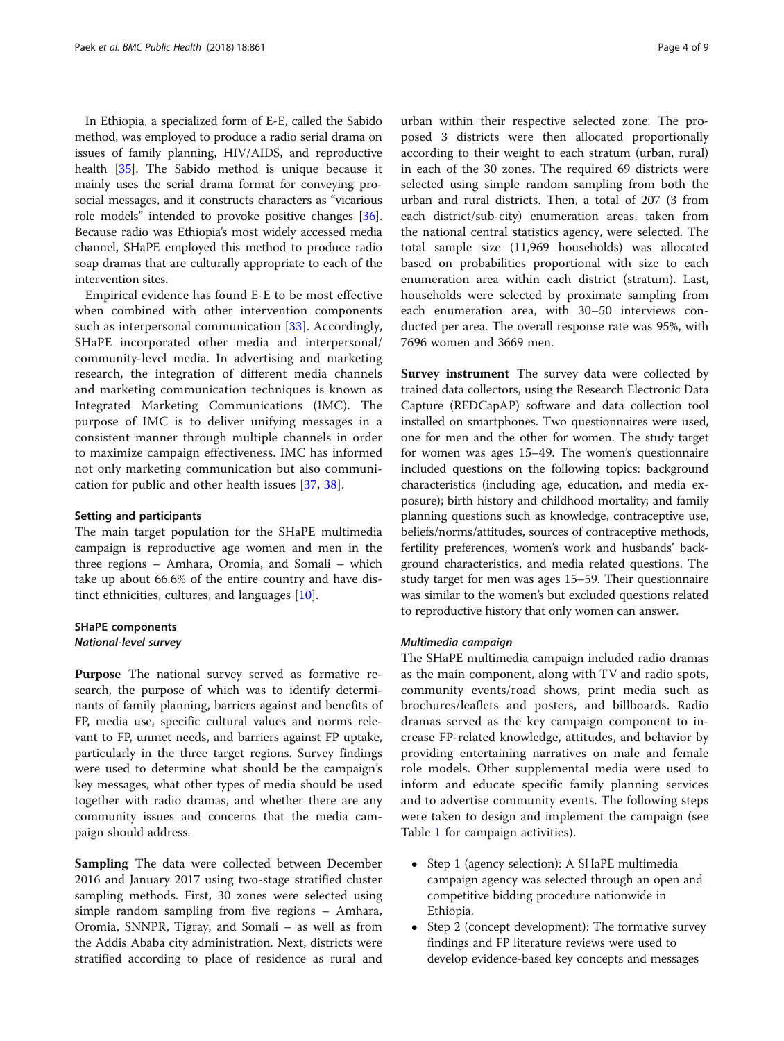In Ethiopia, a specialized form of E-E, called the Sabido method, was employed to produce a radio serial drama on issues of family planning, HIV/AIDS, and reproductive health [\[35\]](#page-7-0). The Sabido method is unique because it mainly uses the serial drama format for conveying prosocial messages, and it constructs characters as "vicarious role models" intended to provoke positive changes [[36](#page-7-0)]. Because radio was Ethiopia's most widely accessed media channel, SHaPE employed this method to produce radio soap dramas that are culturally appropriate to each of the intervention sites.

Empirical evidence has found E-E to be most effective when combined with other intervention components such as interpersonal communication [[33\]](#page-7-0). Accordingly, SHaPE incorporated other media and interpersonal/ community-level media. In advertising and marketing research, the integration of different media channels and marketing communication techniques is known as Integrated Marketing Communications (IMC). The purpose of IMC is to deliver unifying messages in a consistent manner through multiple channels in order to maximize campaign effectiveness. IMC has informed not only marketing communication but also communication for public and other health issues [[37](#page-7-0), [38](#page-8-0)].

#### Setting and participants

The main target population for the SHaPE multimedia campaign is reproductive age women and men in the three regions – Amhara, Oromia, and Somali – which take up about 66.6% of the entire country and have distinct ethnicities, cultures, and languages [\[10\]](#page-7-0).

## SHaPE components National-level survey

Purpose The national survey served as formative research, the purpose of which was to identify determinants of family planning, barriers against and benefits of FP, media use, specific cultural values and norms relevant to FP, unmet needs, and barriers against FP uptake, particularly in the three target regions. Survey findings were used to determine what should be the campaign's key messages, what other types of media should be used together with radio dramas, and whether there are any community issues and concerns that the media campaign should address.

Sampling The data were collected between December 2016 and January 2017 using two-stage stratified cluster sampling methods. First, 30 zones were selected using simple random sampling from five regions – Amhara, Oromia, SNNPR, Tigray, and Somali – as well as from the Addis Ababa city administration. Next, districts were stratified according to place of residence as rural and

urban within their respective selected zone. The proposed 3 districts were then allocated proportionally according to their weight to each stratum (urban, rural) in each of the 30 zones. The required 69 districts were selected using simple random sampling from both the urban and rural districts. Then, a total of 207 (3 from each district/sub-city) enumeration areas, taken from the national central statistics agency, were selected. The total sample size (11,969 households) was allocated based on probabilities proportional with size to each enumeration area within each district (stratum). Last, households were selected by proximate sampling from each enumeration area, with 30–50 interviews conducted per area. The overall response rate was 95%, with 7696 women and 3669 men.

Survey instrument The survey data were collected by trained data collectors, using the Research Electronic Data Capture (REDCapAP) software and data collection tool installed on smartphones. Two questionnaires were used, one for men and the other for women. The study target for women was ages 15–49. The women's questionnaire included questions on the following topics: background characteristics (including age, education, and media exposure); birth history and childhood mortality; and family planning questions such as knowledge, contraceptive use, beliefs/norms/attitudes, sources of contraceptive methods, fertility preferences, women's work and husbands' background characteristics, and media related questions. The study target for men was ages 15–59. Their questionnaire was similar to the women's but excluded questions related to reproductive history that only women can answer.

#### Multimedia campaign

The SHaPE multimedia campaign included radio dramas as the main component, along with TV and radio spots, community events/road shows, print media such as brochures/leaflets and posters, and billboards. Radio dramas served as the key campaign component to increase FP-related knowledge, attitudes, and behavior by providing entertaining narratives on male and female role models. Other supplemental media were used to inform and educate specific family planning services and to advertise community events. The following steps were taken to design and implement the campaign (see Table [1](#page-4-0) for campaign activities).

- Step 1 (agency selection): A SHaPE multimedia campaign agency was selected through an open and competitive bidding procedure nationwide in Ethiopia.
- Step 2 (concept development): The formative survey findings and FP literature reviews were used to develop evidence-based key concepts and messages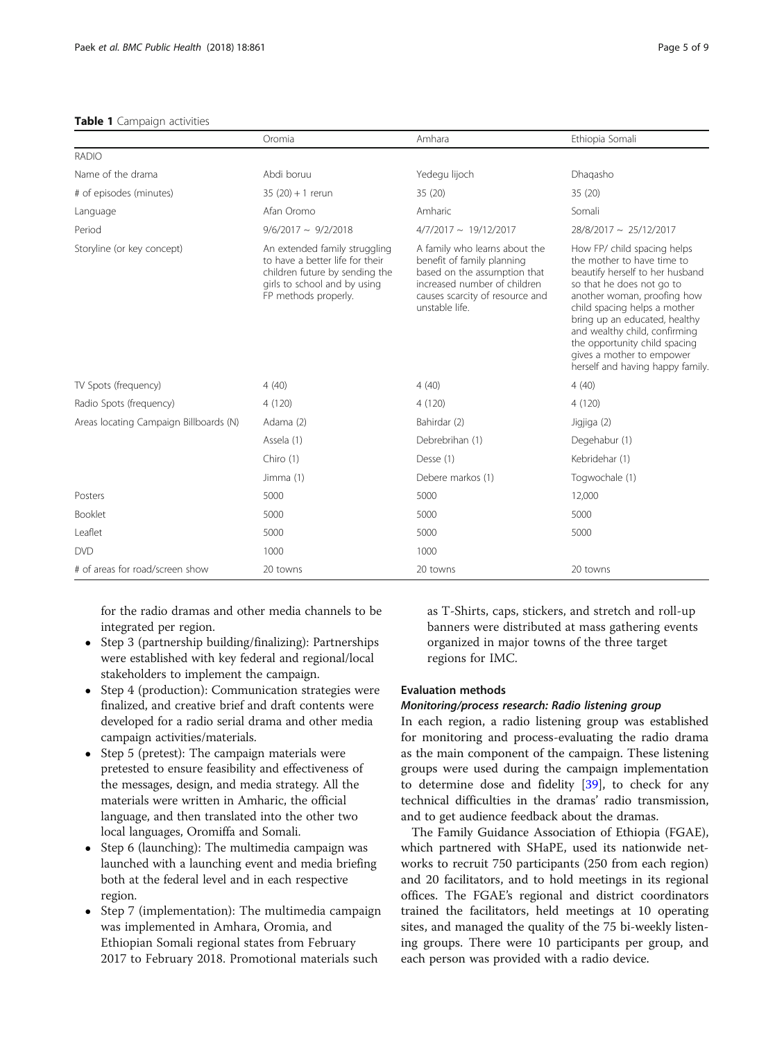#### <span id="page-4-0"></span>Table 1 Campaign activities

|                                        | Oromia                                                                                                                                                     | Amhara                                                                                                                                                                                                                                                                                                                                                                                                                                                                                                                                           | Ethiopia Somali |  |
|----------------------------------------|------------------------------------------------------------------------------------------------------------------------------------------------------------|--------------------------------------------------------------------------------------------------------------------------------------------------------------------------------------------------------------------------------------------------------------------------------------------------------------------------------------------------------------------------------------------------------------------------------------------------------------------------------------------------------------------------------------------------|-----------------|--|
| <b>RADIO</b>                           |                                                                                                                                                            |                                                                                                                                                                                                                                                                                                                                                                                                                                                                                                                                                  |                 |  |
| Name of the drama                      | Abdi boruu                                                                                                                                                 | Yedegu lijoch                                                                                                                                                                                                                                                                                                                                                                                                                                                                                                                                    | Dhagasho        |  |
| # of episodes (minutes)                | $35(20) + 1$ rerun<br>35 (20)                                                                                                                              |                                                                                                                                                                                                                                                                                                                                                                                                                                                                                                                                                  | 35 (20)         |  |
| Language                               | Afan Oromo<br>Amharic                                                                                                                                      |                                                                                                                                                                                                                                                                                                                                                                                                                                                                                                                                                  | Somali          |  |
| Period                                 | $9/6/2017 \approx 9/2/2018$                                                                                                                                | $4/7/2017 \sim 19/12/2017$                                                                                                                                                                                                                                                                                                                                                                                                                                                                                                                       |                 |  |
| Storyline (or key concept)             | An extended family struggling<br>to have a better life for their<br>children future by sending the<br>girls to school and by using<br>FP methods properly. | A family who learns about the<br>How FP/ child spacing helps<br>benefit of family planning<br>the mother to have time to<br>based on the assumption that<br>beautify herself to her husband<br>increased number of children<br>so that he does not go to<br>causes scarcity of resource and<br>another woman, proofing how<br>unstable life.<br>child spacing helps a mother<br>bring up an educated, healthy<br>and wealthy child, confirming<br>the opportunity child spacing<br>gives a mother to empower<br>herself and having happy family. |                 |  |
| TV Spots (frequency)                   | 4(40)                                                                                                                                                      | 4(40)                                                                                                                                                                                                                                                                                                                                                                                                                                                                                                                                            | 4(40)           |  |
| Radio Spots (frequency)                | 4 (120)                                                                                                                                                    | 4(120)                                                                                                                                                                                                                                                                                                                                                                                                                                                                                                                                           | 4(120)          |  |
| Areas locating Campaign Billboards (N) | Adama (2)                                                                                                                                                  | Bahirdar (2)                                                                                                                                                                                                                                                                                                                                                                                                                                                                                                                                     | Jigjiga (2)     |  |
|                                        | Assela (1)                                                                                                                                                 | Debrebrihan (1)                                                                                                                                                                                                                                                                                                                                                                                                                                                                                                                                  | Degehabur (1)   |  |
|                                        | Chiro (1)                                                                                                                                                  | Desse (1)                                                                                                                                                                                                                                                                                                                                                                                                                                                                                                                                        | Kebridehar (1)  |  |
|                                        | Jimma (1)                                                                                                                                                  | Debere markos (1)                                                                                                                                                                                                                                                                                                                                                                                                                                                                                                                                | Togwochale (1)  |  |
| Posters                                | 5000                                                                                                                                                       | 5000                                                                                                                                                                                                                                                                                                                                                                                                                                                                                                                                             | 12,000          |  |
| Booklet                                | 5000                                                                                                                                                       | 5000                                                                                                                                                                                                                                                                                                                                                                                                                                                                                                                                             | 5000            |  |
| Leaflet                                | 5000                                                                                                                                                       | 5000                                                                                                                                                                                                                                                                                                                                                                                                                                                                                                                                             | 5000            |  |
| <b>DVD</b>                             | 1000                                                                                                                                                       | 1000                                                                                                                                                                                                                                                                                                                                                                                                                                                                                                                                             |                 |  |
| # of areas for road/screen show        | 20 towns                                                                                                                                                   | 20 towns                                                                                                                                                                                                                                                                                                                                                                                                                                                                                                                                         | 20 towns        |  |

for the radio dramas and other media channels to be integrated per region.

- Step 3 (partnership building/finalizing): Partnerships were established with key federal and regional/local stakeholders to implement the campaign.
- Step 4 (production): Communication strategies were finalized, and creative brief and draft contents were developed for a radio serial drama and other media campaign activities/materials.
- Step 5 (pretest): The campaign materials were pretested to ensure feasibility and effectiveness of the messages, design, and media strategy. All the materials were written in Amharic, the official language, and then translated into the other two local languages, Oromiffa and Somali.
- Step 6 (launching): The multimedia campaign was launched with a launching event and media briefing both at the federal level and in each respective region.
- Step 7 (implementation): The multimedia campaign was implemented in Amhara, Oromia, and Ethiopian Somali regional states from February 2017 to February 2018. Promotional materials such

as T-Shirts, caps, stickers, and stretch and roll-up banners were distributed at mass gathering events organized in major towns of the three target regions for IMC.

## Evaluation methods

## Monitoring/process research: Radio listening group

In each region, a radio listening group was established for monitoring and process-evaluating the radio drama as the main component of the campaign. These listening groups were used during the campaign implementation to determine dose and fidelity [[39\]](#page-8-0), to check for any technical difficulties in the dramas' radio transmission, and to get audience feedback about the dramas.

The Family Guidance Association of Ethiopia (FGAE), which partnered with SHaPE, used its nationwide networks to recruit 750 participants (250 from each region) and 20 facilitators, and to hold meetings in its regional offices. The FGAE's regional and district coordinators trained the facilitators, held meetings at 10 operating sites, and managed the quality of the 75 bi-weekly listening groups. There were 10 participants per group, and each person was provided with a radio device.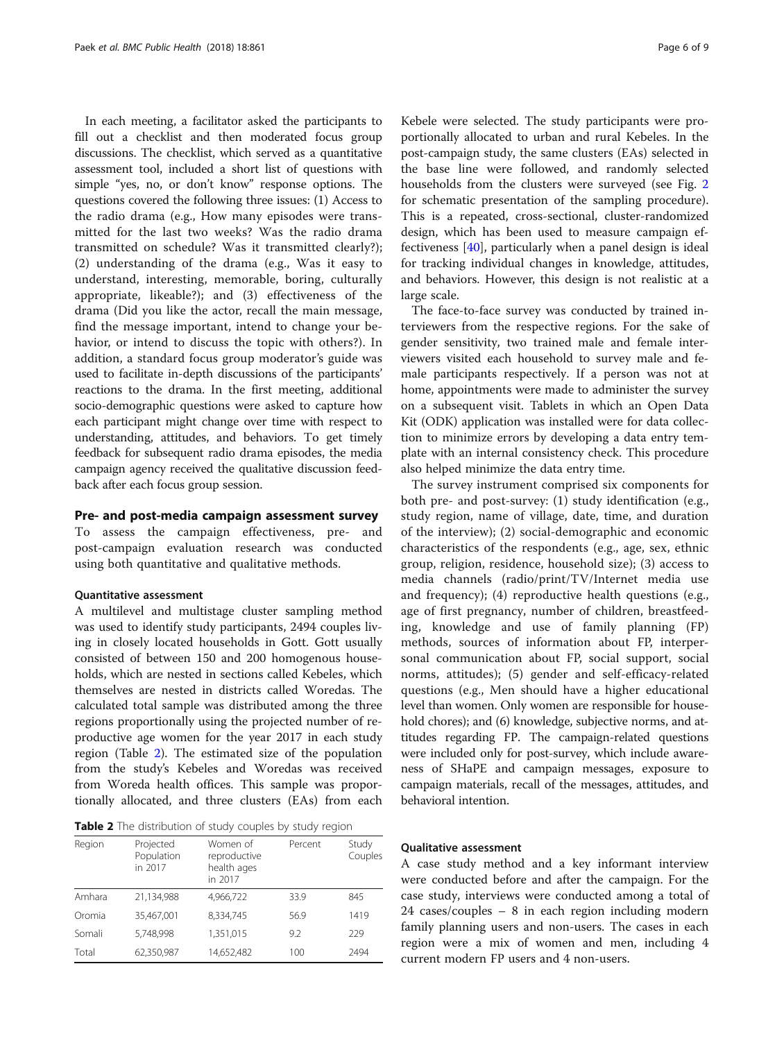In each meeting, a facilitator asked the participants to fill out a checklist and then moderated focus group discussions. The checklist, which served as a quantitative assessment tool, included a short list of questions with simple "yes, no, or don't know" response options. The questions covered the following three issues: (1) Access to the radio drama (e.g., How many episodes were transmitted for the last two weeks? Was the radio drama transmitted on schedule? Was it transmitted clearly?); (2) understanding of the drama (e.g., Was it easy to understand, interesting, memorable, boring, culturally appropriate, likeable?); and (3) effectiveness of the drama (Did you like the actor, recall the main message, find the message important, intend to change your behavior, or intend to discuss the topic with others?). In addition, a standard focus group moderator's guide was used to facilitate in-depth discussions of the participants' reactions to the drama. In the first meeting, additional socio-demographic questions were asked to capture how each participant might change over time with respect to understanding, attitudes, and behaviors. To get timely feedback for subsequent radio drama episodes, the media campaign agency received the qualitative discussion feedback after each focus group session.

#### Pre- and post-media campaign assessment survey

To assess the campaign effectiveness, pre- and post-campaign evaluation research was conducted using both quantitative and qualitative methods.

## Quantitative assessment

A multilevel and multistage cluster sampling method was used to identify study participants, 2494 couples living in closely located households in Gott. Gott usually consisted of between 150 and 200 homogenous households, which are nested in sections called Kebeles, which themselves are nested in districts called Woredas. The calculated total sample was distributed among the three regions proportionally using the projected number of reproductive age women for the year 2017 in each study region (Table 2). The estimated size of the population from the study's Kebeles and Woredas was received from Woreda health offices. This sample was proportionally allocated, and three clusters (EAs) from each

| Table 2 The distribution of study couples by study region |  |
|-----------------------------------------------------------|--|
|-----------------------------------------------------------|--|

| Region | Projected<br>Population<br>in 2017 | Women of<br>reproductive<br>health ages<br>in 2017 | Percent | Study<br>Couples |
|--------|------------------------------------|----------------------------------------------------|---------|------------------|
| Amhara | 21,134,988                         | 4,966,722                                          | 33.9    | 845              |
| Oromia | 35.467.001                         | 8.334.745                                          | 56.9    | 1419             |
| Somali | 5.748.998                          | 1,351,015                                          | 9.2     | 229              |
| Total  | 62,350,987                         | 14.652.482                                         | 100     | 2494             |

Kebele were selected. The study participants were proportionally allocated to urban and rural Kebeles. In the post-campaign study, the same clusters (EAs) selected in the base line were followed, and randomly selected households from the clusters were surveyed (see Fig. [2](#page-6-0) for schematic presentation of the sampling procedure). This is a repeated, cross-sectional, cluster-randomized design, which has been used to measure campaign effectiveness [[40\]](#page-8-0), particularly when a panel design is ideal for tracking individual changes in knowledge, attitudes, and behaviors. However, this design is not realistic at a large scale.

The face-to-face survey was conducted by trained interviewers from the respective regions. For the sake of gender sensitivity, two trained male and female interviewers visited each household to survey male and female participants respectively. If a person was not at home, appointments were made to administer the survey on a subsequent visit. Tablets in which an Open Data Kit (ODK) application was installed were for data collection to minimize errors by developing a data entry template with an internal consistency check. This procedure also helped minimize the data entry time.

The survey instrument comprised six components for both pre- and post-survey: (1) study identification (e.g., study region, name of village, date, time, and duration of the interview); (2) social-demographic and economic characteristics of the respondents (e.g., age, sex, ethnic group, religion, residence, household size); (3) access to media channels (radio/print/TV/Internet media use and frequency); (4) reproductive health questions (e.g., age of first pregnancy, number of children, breastfeeding, knowledge and use of family planning (FP) methods, sources of information about FP, interpersonal communication about FP, social support, social norms, attitudes); (5) gender and self-efficacy-related questions (e.g., Men should have a higher educational level than women. Only women are responsible for household chores); and (6) knowledge, subjective norms, and attitudes regarding FP. The campaign-related questions were included only for post-survey, which include awareness of SHaPE and campaign messages, exposure to campaign materials, recall of the messages, attitudes, and behavioral intention.

## Qualitative assessment

A case study method and a key informant interview were conducted before and after the campaign. For the case study, interviews were conducted among a total of 24 cases/couples – 8 in each region including modern family planning users and non-users. The cases in each region were a mix of women and men, including 4 current modern FP users and 4 non-users.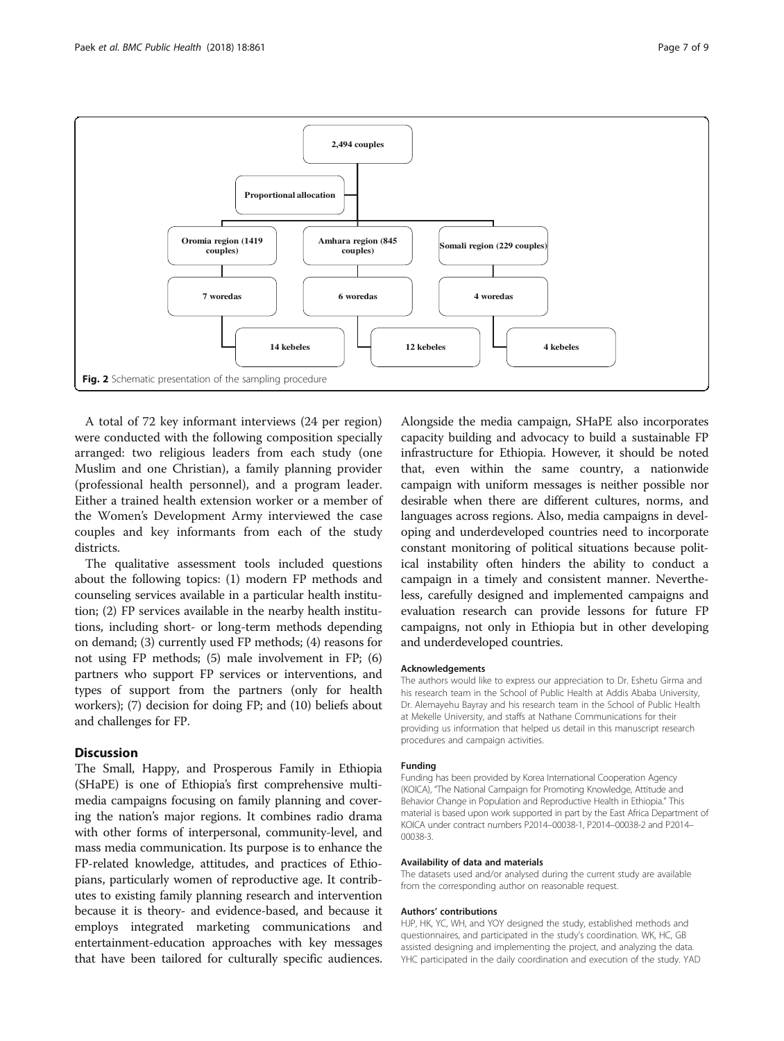<span id="page-6-0"></span>

A total of 72 key informant interviews (24 per region) were conducted with the following composition specially arranged: two religious leaders from each study (one Muslim and one Christian), a family planning provider (professional health personnel), and a program leader. Either a trained health extension worker or a member of the Women's Development Army interviewed the case couples and key informants from each of the study districts.

The qualitative assessment tools included questions about the following topics: (1) modern FP methods and counseling services available in a particular health institution; (2) FP services available in the nearby health institutions, including short- or long-term methods depending on demand; (3) currently used FP methods; (4) reasons for not using FP methods; (5) male involvement in FP; (6) partners who support FP services or interventions, and types of support from the partners (only for health workers); (7) decision for doing FP; and (10) beliefs about and challenges for FP.

### **Discussion**

The Small, Happy, and Prosperous Family in Ethiopia (SHaPE) is one of Ethiopia's first comprehensive multimedia campaigns focusing on family planning and covering the nation's major regions. It combines radio drama with other forms of interpersonal, community-level, and mass media communication. Its purpose is to enhance the FP-related knowledge, attitudes, and practices of Ethiopians, particularly women of reproductive age. It contributes to existing family planning research and intervention because it is theory- and evidence-based, and because it employs integrated marketing communications and entertainment-education approaches with key messages that have been tailored for culturally specific audiences.

Alongside the media campaign, SHaPE also incorporates capacity building and advocacy to build a sustainable FP infrastructure for Ethiopia. However, it should be noted that, even within the same country, a nationwide campaign with uniform messages is neither possible nor desirable when there are different cultures, norms, and languages across regions. Also, media campaigns in developing and underdeveloped countries need to incorporate constant monitoring of political situations because political instability often hinders the ability to conduct a campaign in a timely and consistent manner. Nevertheless, carefully designed and implemented campaigns and evaluation research can provide lessons for future FP campaigns, not only in Ethiopia but in other developing and underdeveloped countries.

#### Acknowledgements

The authors would like to express our appreciation to Dr. Eshetu Girma and his research team in the School of Public Health at Addis Ababa University, Dr. Alemayehu Bayray and his research team in the School of Public Health at Mekelle University, and staffs at Nathane Communications for their providing us information that helped us detail in this manuscript research procedures and campaign activities.

#### Funding

Funding has been provided by Korea International Cooperation Agency (KOICA), "The National Campaign for Promoting Knowledge, Attitude and Behavior Change in Population and Reproductive Health in Ethiopia." This material is based upon work supported in part by the East Africa Department of KOICA under contract numbers P2014–00038-1, P2014–00038-2 and P2014– 00038-3.

#### Availability of data and materials

The datasets used and/or analysed during the current study are available from the corresponding author on reasonable request.

#### Authors' contributions

HJP, HK, YC, WH, and YOY designed the study, established methods and questionnaires, and participated in the study's coordination. WK, HC, GB assisted designing and implementing the project, and analyzing the data. YHC participated in the daily coordination and execution of the study. YAD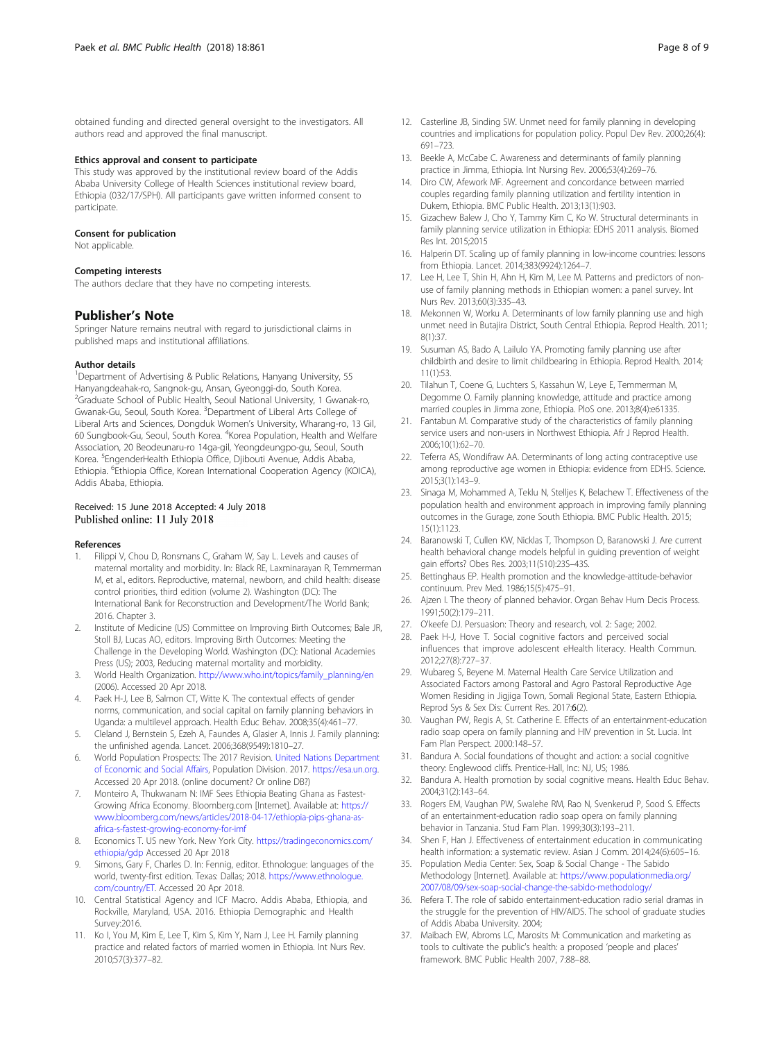<span id="page-7-0"></span>obtained funding and directed general oversight to the investigators. All authors read and approved the final manuscript.

#### Ethics approval and consent to participate

This study was approved by the institutional review board of the Addis Ababa University College of Health Sciences institutional review board, Ethiopia (032/17/SPH). All participants gave written informed consent to participate.

#### Consent for publication

Not applicable.

#### Competing interests

The authors declare that they have no competing interests.

#### Publisher's Note

Springer Nature remains neutral with regard to jurisdictional claims in published maps and institutional affiliations.

#### Author details

<sup>1</sup>Department of Advertising & Public Relations, Hanyang University, 55 Hanyangdeahak-ro, Sangnok-gu, Ansan, Gyeonggi-do, South Korea. <sup>2</sup>Graduate School of Public Health, Seoul National University, 1 Gwanak-ro, Gwanak-Gu, Seoul, South Korea. <sup>3</sup>Department of Liberal Arts College of Liberal Arts and Sciences, Dongduk Women's University, Wharang-ro, 13 Gil, 60 Sungbook-Gu, Seoul, South Korea. <sup>4</sup>Korea Population, Health and Welfare Association, 20 Beodeunaru-ro 14ga-gil, Yeongdeungpo-gu, Seoul, South Korea. <sup>5</sup>EngenderHealth Ethiopia Office, Djibouti Avenue, Addis Ababa, Ethiopia. <sup>6</sup>Ethiopia Office, Korean International Cooperation Agency (KOICA), Addis Ababa, Ethiopia.

#### Received: 15 June 2018 Accepted: 4 July 2018 Published online: 11 July 2018

#### References

- 1. Filippi V, Chou D, Ronsmans C, Graham W, Say L. Levels and causes of maternal mortality and morbidity. In: Black RE, Laxminarayan R, Temmerman M, et al., editors. Reproductive, maternal, newborn, and child health: disease control priorities, third edition (volume 2). Washington (DC): The International Bank for Reconstruction and Development/The World Bank; 2016. Chanter 3.
- 2. Institute of Medicine (US) Committee on Improving Birth Outcomes; Bale JR, Stoll BJ, Lucas AO, editors. Improving Birth Outcomes: Meeting the Challenge in the Developing World. Washington (DC): National Academies Press (US); 2003, Reducing maternal mortality and morbidity.
- 3. World Health Organization. [http://www.who.int/topics/family\\_planning/en](http://www.who.int/topics/family_planning/en) (2006). Accessed 20 Apr 2018.
- 4. Paek H-J, Lee B, Salmon CT, Witte K. The contextual effects of gender norms, communication, and social capital on family planning behaviors in Uganda: a multilevel approach. Health Educ Behav. 2008;35(4):461–77.
- 5. Cleland J, Bernstein S, Ezeh A, Faundes A, Glasier A, Innis J. Family planning: the unfinished agenda. Lancet. 2006;368(9549):1810–27.
- 6. World Population Prospects: The 2017 Revision. [United Nations Department](https://en.wikipedia.org/wiki/United_Nations_Department_of_Economic_and_Social_Affairs) [of Economic and Social Affairs](https://en.wikipedia.org/wiki/United_Nations_Department_of_Economic_and_Social_Affairs), Population Division. 2017. [https://esa.un.org.](https://esa.un.org) Accessed 20 Apr 2018. (online document? Or online DB?)
- 7. Monteiro A, Thukwanam N: IMF Sees Ethiopia Beating Ghana as Fastest-Growing Africa Economy. Bloomberg.com [Internet]. Available at: [https://](https://www.bloomberg.com/news/articles/2018-04-17/ethiopia-pips-ghana-as-africa-s-fastest-growing-economy-for-imf) [www.bloomberg.com/news/articles/2018-04-17/ethiopia-pips-ghana-as](https://www.bloomberg.com/news/articles/2018-04-17/ethiopia-pips-ghana-as-africa-s-fastest-growing-economy-for-imf)[africa-s-fastest-growing-economy-for-imf](https://www.bloomberg.com/news/articles/2018-04-17/ethiopia-pips-ghana-as-africa-s-fastest-growing-economy-for-imf)
- 8. Economics T. US new York. New York City. [https://tradingeconomics.com/](https://tradingeconomics.com/ethiopia/gdp.%20Accessed%2020%20Apr%202018) [ethiopia/gdp](https://tradingeconomics.com/ethiopia/gdp.%20Accessed%2020%20Apr%202018) Accessed 20 Apr 2018
- 9. Simons, Gary F, Charles D. In: Fennig, editor. Ethnologue: languages of the world, twenty-first edition. Texas: Dallas; 2018. [https://www.ethnologue.](https://www.ethnologue.com/country/ET) [com/country/ET.](https://www.ethnologue.com/country/ET) Accessed 20 Apr 2018.
- 10. Central Statistical Agency and ICF Macro. Addis Ababa, Ethiopia, and Rockville, Maryland, USA. 2016. Ethiopia Demographic and Health Survey:2016.
- 11. Ko I, You M, Kim E, Lee T, Kim S, Kim Y, Nam J, Lee H. Family planning practice and related factors of married women in Ethiopia. Int Nurs Rev. 2010;57(3):377–82.
- 12. Casterline JB, Sinding SW. Unmet need for family planning in developing countries and implications for population policy. Popul Dev Rev. 2000;26(4): 691–723.
- 13. Beekle A, McCabe C. Awareness and determinants of family planning practice in Jimma, Ethiopia. Int Nursing Rev. 2006;53(4):269–76.
- 14. Diro CW, Afework MF. Agreement and concordance between married couples regarding family planning utilization and fertility intention in Dukem, Ethiopia. BMC Public Health. 2013;13(1):903.
- 15. Gizachew Balew J, Cho Y, Tammy Kim C, Ko W. Structural determinants in family planning service utilization in Ethiopia: EDHS 2011 analysis. Biomed Res Int. 2015;2015
- 16. Halperin DT. Scaling up of family planning in low-income countries: lessons from Ethiopia. Lancet. 2014;383(9924):1264–7.
- 17. Lee H, Lee T, Shin H, Ahn H, Kim M, Lee M. Patterns and predictors of nonuse of family planning methods in Ethiopian women: a panel survey. Int Nurs Rev. 2013;60(3):335–43.
- 18. Mekonnen W, Worku A. Determinants of low family planning use and high unmet need in Butajira District, South Central Ethiopia. Reprod Health. 2011; 8(1):37.
- 19. Susuman AS, Bado A, Lailulo YA. Promoting family planning use after childbirth and desire to limit childbearing in Ethiopia. Reprod Health. 2014; 11(1):53.
- 20. Tilahun T, Coene G, Luchters S, Kassahun W, Leye E, Temmerman M, Degomme O. Family planning knowledge, attitude and practice among married couples in Jimma zone, Ethiopia. PloS one. 2013;8(4):e61335.
- 21. Fantabun M. Comparative study of the characteristics of family planning service users and non-users in Northwest Ethiopia. Afr J Reprod Health. 2006;10(1):62–70.
- 22. Teferra AS, Wondifraw AA. Determinants of long acting contraceptive use among reproductive age women in Ethiopia: evidence from EDHS. Science. 2015;3(1):143–9.
- 23. Sinaga M, Mohammed A, Teklu N, Stelljes K, Belachew T. Effectiveness of the population health and environment approach in improving family planning outcomes in the Gurage, zone South Ethiopia. BMC Public Health. 2015; 15(1):1123.
- 24. Baranowski T, Cullen KW, Nicklas T, Thompson D, Baranowski J. Are current health behavioral change models helpful in guiding prevention of weight gain efforts? Obes Res. 2003;11(S10):23S–43S.
- 25. Bettinghaus EP. Health promotion and the knowledge-attitude-behavior continuum. Prev Med. 1986;15(5):475–91.
- 26. Ajzen I. The theory of planned behavior. Organ Behav Hum Decis Process. 1991;50(2):179–211.
- 27. O'keefe DJ. Persuasion: Theory and research, vol. 2: Sage; 2002.
- 28. Paek H-J, Hove T. Social cognitive factors and perceived social influences that improve adolescent eHealth literacy. Health Commun. 2012;27(8):727–37.
- 29. Wubareg S, Beyene M. Maternal Health Care Service Utilization and Associated Factors among Pastoral and Agro Pastoral Reproductive Age Women Residing in Jigjiga Town, Somali Regional State, Eastern Ethiopia. Reprod Sys & Sex Dis: Current Res. 2017:6(2).
- 30. Vaughan PW, Regis A, St. Catherine E. Effects of an entertainment-education radio soap opera on family planning and HIV prevention in St. Lucia. Int Fam Plan Perspect. 2000:148–57.
- 31. Bandura A. Social foundations of thought and action: a social cognitive theory: Englewood cliffs. Prentice-Hall, Inc: NJ, US; 1986.
- 32. Bandura A. Health promotion by social cognitive means. Health Educ Behav. 2004;31(2):143–64.
- 33. Rogers EM, Vaughan PW, Swalehe RM, Rao N, Svenkerud P, Sood S. Effects of an entertainment-education radio soap opera on family planning behavior in Tanzania. Stud Fam Plan. 1999;30(3):193–211.
- 34. Shen F, Han J. Effectiveness of entertainment education in communicating health information: a systematic review. Asian J Comm. 2014;24(6):605–16.
- 35. Population Media Center: Sex, Soap & Social Change The Sabido Methodology [Internet]. Available at: [https://www.populationmedia.org/](https://www.populationmedia.org/2007/08/09/sex-soap-social-change-the-sabido-methodology) [2007/08/09/sex-soap-social-change-the-sabido-methodology/](https://www.populationmedia.org/2007/08/09/sex-soap-social-change-the-sabido-methodology)
- 36. Refera T. The role of sabido entertainment-education radio serial dramas in the struggle for the prevention of HIV/AIDS. The school of graduate studies of Addis Ababa University. 2004;
- 37. Maibach EW, Abroms LC, Marosits M: Communication and marketing as tools to cultivate the public's health: a proposed 'people and places' framework. BMC Public Health 2007, 7:88–88.